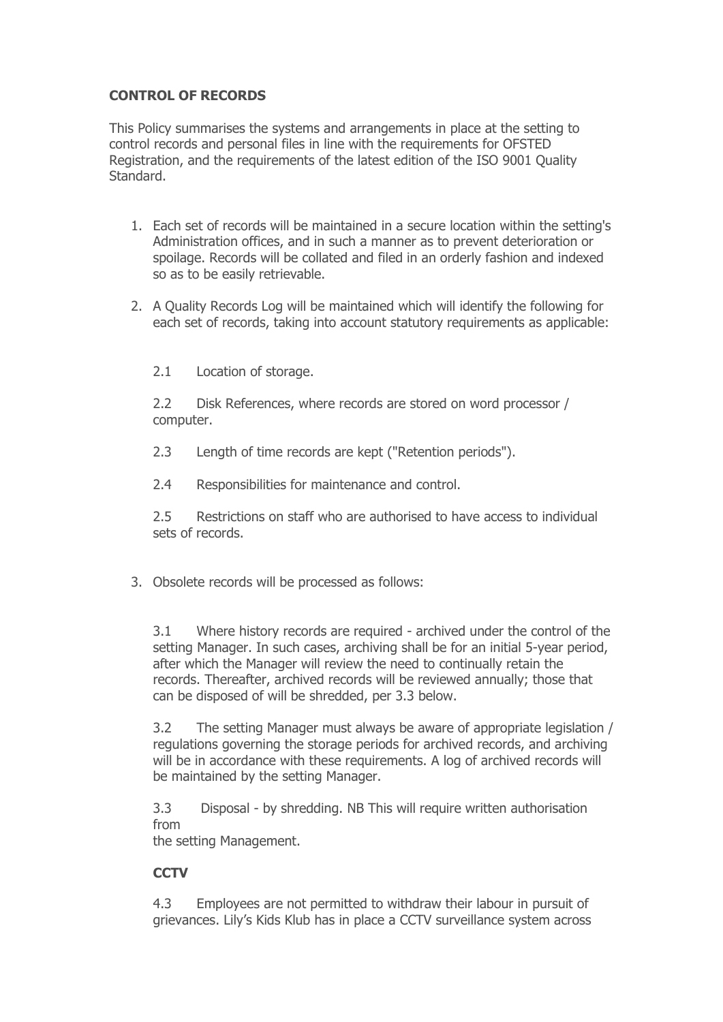# **CONTROL OF RECORDS**

This Policy summarises the systems and arrangements in place at the setting to control records and personal files in line with the requirements for OFSTED Registration, and the requirements of the latest edition of the ISO 9001 Quality Standard.

- 1. Each set of records will be maintained in a secure location within the setting's Administration offices, and in such a manner as to prevent deterioration or spoilage. Records will be collated and filed in an orderly fashion and indexed so as to be easily retrievable.
- 2. A Quality Records Log will be maintained which will identify the following for each set of records, taking into account statutory requirements as applicable:

2.1 Location of storage.

2.2 Disk References, where records are stored on word processor / computer.

2.3 Length of time records are kept ("Retention periods").

2.4 Responsibilities for maintenance and control.

2.5 Restrictions on staff who are authorised to have access to individual sets of records.

3. Obsolete records will be processed as follows:

3.1 Where history records are required - archived under the control of the setting Manager. In such cases, archiving shall be for an initial 5-year period, after which the Manager will review the need to continually retain the records. Thereafter, archived records will be reviewed annually; those that can be disposed of will be shredded, per 3.3 below.

3.2 The setting Manager must always be aware of appropriate legislation / regulations governing the storage periods for archived records, and archiving will be in accordance with these requirements. A log of archived records will be maintained by the setting Manager.

3.3 Disposal - by shredding. NB This will require written authorisation from

the setting Management.

### **CCTV**

4.3 Employees are not permitted to withdraw their labour in pursuit of grievances. Lily's Kids Klub has in place a CCTV surveillance system across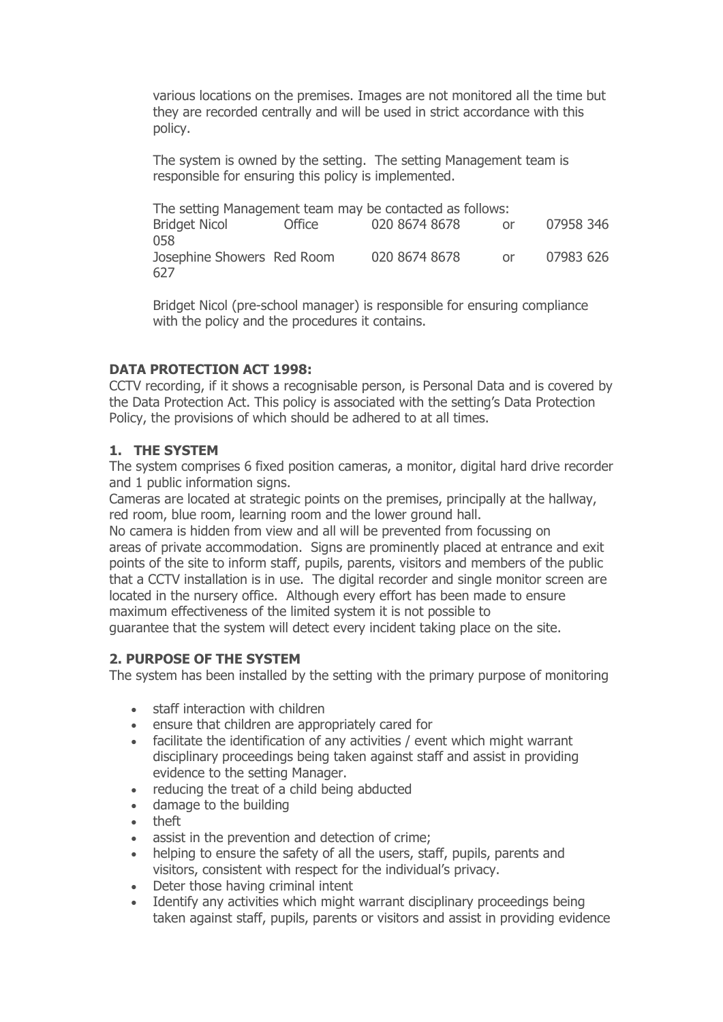various locations on the premises. Images are not monitored all the time but they are recorded centrally and will be used in strict accordance with this policy.

The system is owned by the setting. The setting Management team is responsible for ensuring this policy is implemented.

The setting Management team may be contacted as follows: Bridget Nicol Office 020 8674 8678 or 07958 346 058 Josephine Showers Red Room 020 8674 8678 or 07983 626 627

Bridget Nicol (pre-school manager) is responsible for ensuring compliance with the policy and the procedures it contains.

### **DATA PROTECTION ACT 1998:**

CCTV recording, if it shows a recognisable person, is Personal Data and is covered by the Data Protection Act. This policy is associated with the setting's Data Protection Policy, the provisions of which should be adhered to at all times.

### **1. THE SYSTEM**

The system comprises 6 fixed position cameras, a monitor, digital hard drive recorder and 1 public information signs.

Cameras are located at strategic points on the premises, principally at the hallway, red room, blue room, learning room and the lower ground hall.

No camera is hidden from view and all will be prevented from focussing on areas of private accommodation. Signs are prominently placed at entrance and exit points of the site to inform staff, pupils, parents, visitors and members of the public that a CCTV installation is in use. The digital recorder and single monitor screen are located in the nursery office. Although every effort has been made to ensure maximum effectiveness of the limited system it is not possible to guarantee that the system will detect every incident taking place on the site.

#### **2. PURPOSE OF THE SYSTEM**

The system has been installed by the setting with the primary purpose of monitoring

- staff interaction with children
- ensure that children are appropriately cared for
- facilitate the identification of any activities / event which might warrant disciplinary proceedings being taken against staff and assist in providing evidence to the setting Manager.
- reducing the treat of a child being abducted
- damage to the building
- theft
- assist in the prevention and detection of crime;
- helping to ensure the safety of all the users, staff, pupils, parents and visitors, consistent with respect for the individual's privacy.
- Deter those having criminal intent
- Identify any activities which might warrant disciplinary proceedings being taken against staff, pupils, parents or visitors and assist in providing evidence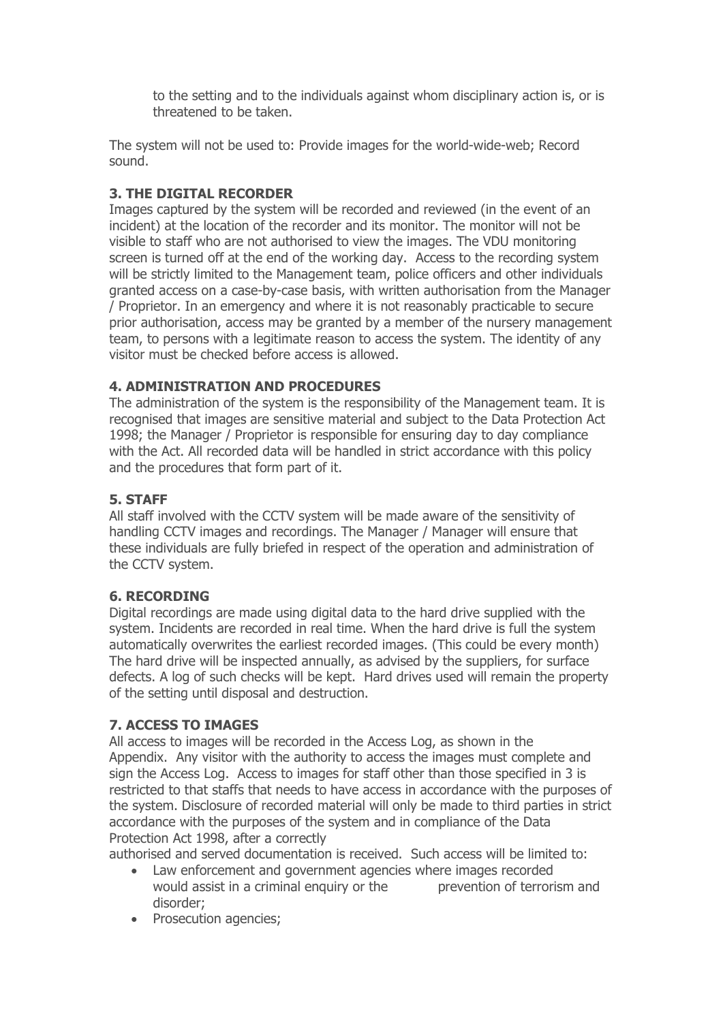to the setting and to the individuals against whom disciplinary action is, or is threatened to be taken.

The system will not be used to: Provide images for the world-wide-web; Record sound.

## **3. THE DIGITAL RECORDER**

Images captured by the system will be recorded and reviewed (in the event of an incident) at the location of the recorder and its monitor. The monitor will not be visible to staff who are not authorised to view the images. The VDU monitoring screen is turned off at the end of the working day. Access to the recording system will be strictly limited to the Management team, police officers and other individuals granted access on a case-by-case basis, with written authorisation from the Manager / Proprietor. In an emergency and where it is not reasonably practicable to secure prior authorisation, access may be granted by a member of the nursery management team, to persons with a legitimate reason to access the system. The identity of any visitor must be checked before access is allowed.

## **4. ADMINISTRATION AND PROCEDURES**

The administration of the system is the responsibility of the Management team. It is recognised that images are sensitive material and subject to the Data Protection Act 1998; the Manager / Proprietor is responsible for ensuring day to day compliance with the Act. All recorded data will be handled in strict accordance with this policy and the procedures that form part of it.

## **5. STAFF**

All staff involved with the CCTV system will be made aware of the sensitivity of handling CCTV images and recordings. The Manager / Manager will ensure that these individuals are fully briefed in respect of the operation and administration of the CCTV system.

### **6. RECORDING**

Digital recordings are made using digital data to the hard drive supplied with the system. Incidents are recorded in real time. When the hard drive is full the system automatically overwrites the earliest recorded images. (This could be every month) The hard drive will be inspected annually, as advised by the suppliers, for surface defects. A log of such checks will be kept. Hard drives used will remain the property of the setting until disposal and destruction.

### **7. ACCESS TO IMAGES**

All access to images will be recorded in the Access Log, as shown in the Appendix. Any visitor with the authority to access the images must complete and sign the Access Log. Access to images for staff other than those specified in 3 is restricted to that staffs that needs to have access in accordance with the purposes of the system. Disclosure of recorded material will only be made to third parties in strict accordance with the purposes of the system and in compliance of the Data Protection Act 1998, after a correctly

authorised and served documentation is received. Such access will be limited to:

- Law enforcement and government agencies where images recorded would assist in a criminal enquiry or the prevention of terrorism and disorder;
- Prosecution agencies;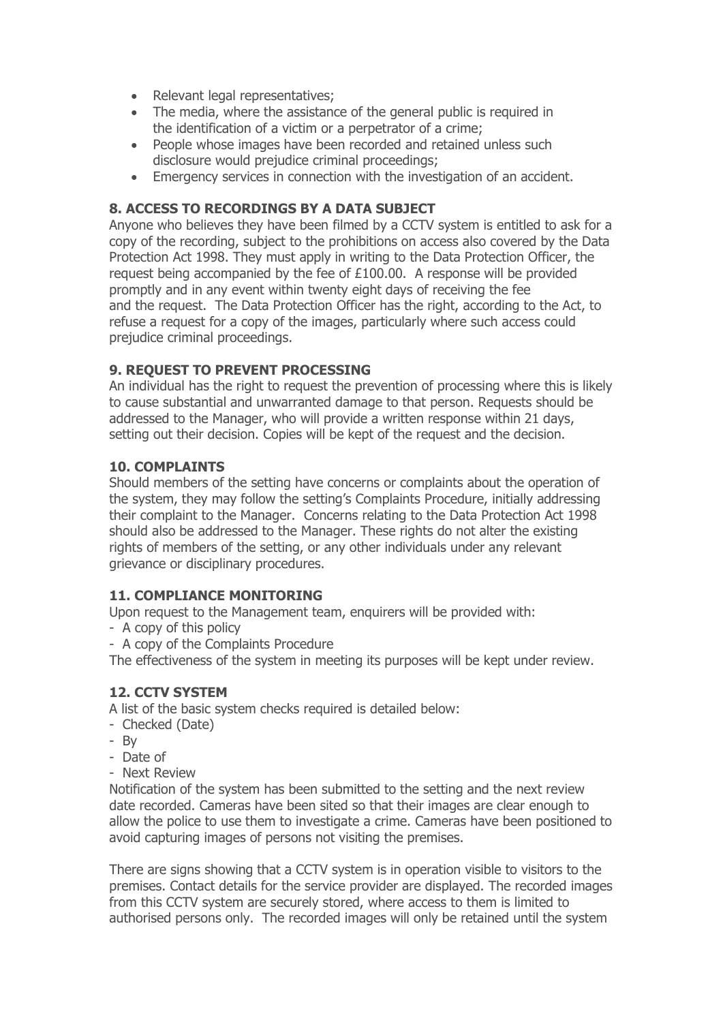- Relevant legal representatives;
- The media, where the assistance of the general public is required in the identification of a victim or a perpetrator of a crime;
- People whose images have been recorded and retained unless such disclosure would prejudice criminal proceedings;
- Emergency services in connection with the investigation of an accident.

## **8. ACCESS TO RECORDINGS BY A DATA SUBJECT**

Anyone who believes they have been filmed by a CCTV system is entitled to ask for a copy of the recording, subject to the prohibitions on access also covered by the Data Protection Act 1998. They must apply in writing to the Data Protection Officer, the request being accompanied by the fee of £100.00. A response will be provided promptly and in any event within twenty eight days of receiving the fee and the request. The Data Protection Officer has the right, according to the Act, to refuse a request for a copy of the images, particularly where such access could prejudice criminal proceedings.

### **9. REQUEST TO PREVENT PROCESSING**

An individual has the right to request the prevention of processing where this is likely to cause substantial and unwarranted damage to that person. Requests should be addressed to the Manager, who will provide a written response within 21 days, setting out their decision. Copies will be kept of the request and the decision.

#### **10. COMPLAINTS**

Should members of the setting have concerns or complaints about the operation of the system, they may follow the setting's Complaints Procedure, initially addressing their complaint to the Manager. Concerns relating to the Data Protection Act 1998 should also be addressed to the Manager. These rights do not alter the existing rights of members of the setting, or any other individuals under any relevant grievance or disciplinary procedures.

#### **11. COMPLIANCE MONITORING**

Upon request to the Management team, enquirers will be provided with:

- A copy of this policy
- A copy of the Complaints Procedure

The effectiveness of the system in meeting its purposes will be kept under review.

### **12. CCTV SYSTEM**

A list of the basic system checks required is detailed below:

- Checked (Date)
- By
- Date of
- Next Review

Notification of the system has been submitted to the setting and the next review date recorded. Cameras have been sited so that their images are clear enough to allow the police to use them to investigate a crime. Cameras have been positioned to avoid capturing images of persons not visiting the premises.

There are signs showing that a CCTV system is in operation visible to visitors to the premises. Contact details for the service provider are displayed. The recorded images from this CCTV system are securely stored, where access to them is limited to authorised persons only. The recorded images will only be retained until the system